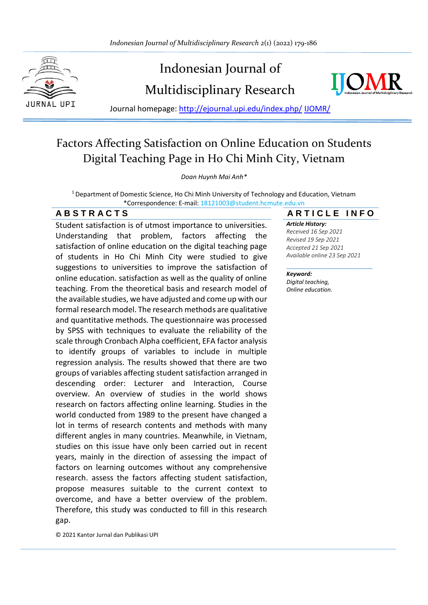

# Indonesian Journal of





Journal homepage: [http://ejournal.upi.edu/index.php/](http://ejournal.upi.edu/index.php/IJERT/) IJOMR/

## Factors Affecting Satisfaction on Online Education on Students Digital Teaching Page in Ho Chi Minh City, Vietnam

#### *Doan Huynh Mai Anh\**

<sup>1</sup> Department of Domestic Science, Ho Chi Minh University of Technology and Education, Vietnam \*Correspondence: E-mail: 18121003@student.hcmute.edu.vn

Student satisfaction is of utmost importance to universities. Understanding that problem, factors affecting the satisfaction of online education on the digital teaching page of students in Ho Chi Minh City were studied to give suggestions to universities to improve the satisfaction of online education. satisfaction as well as the quality of online teaching. From the theoretical basis and research model of the available studies, we have adjusted and come up with our formal research model. The research methods are qualitative and quantitative methods. The questionnaire was processed by SPSS with techniques to evaluate the reliability of the scale through Cronbach Alpha coefficient, EFA factor analysis to identify groups of variables to include in multiple regression analysis. The results showed that there are two groups of variables affecting student satisfaction arranged in descending order: Lecturer and Interaction, Course overview. An overview of studies in the world shows research on factors affecting online learning. Studies in the world conducted from 1989 to the present have changed a lot in terms of research contents and methods with many different angles in many countries. Meanwhile, in Vietnam, studies on this issue have only been carried out in recent years, mainly in the direction of assessing the impact of factors on learning outcomes without any comprehensive research. assess the factors affecting student satisfaction, propose measures suitable to the current context to overcome, and have a better overview of the problem. Therefore, this study was conducted to fill in this research gap.

© 2021 Kantor Jurnal dan Publikasi UPI

### **A B S T R A C T S A R T I C L E I N F O**

*Article History: Received 16 Sep 2021 Revised 19 Sep 2021 Accepted 21 Sep 2021 Available online 23 Sep 2021*

#### \_\_\_\_\_\_\_\_\_\_\_\_\_\_\_\_\_\_\_\_ *Keyword:*

*Digital teaching, Online education.*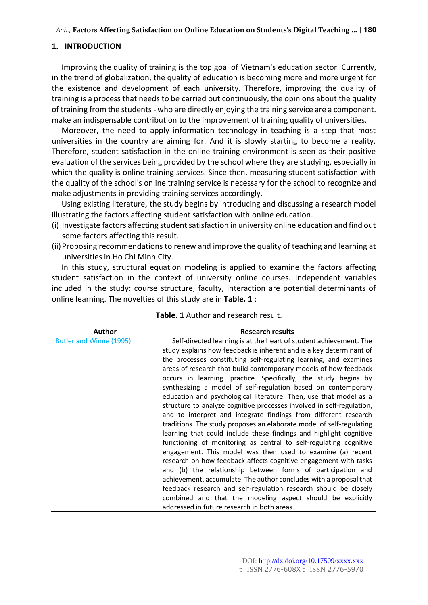#### **1. INTRODUCTION**

Improving the quality of training is the top goal of Vietnam's education sector. Currently, in the trend of globalization, the quality of education is becoming more and more urgent for the existence and development of each university. Therefore, improving the quality of training is a process that needs to be carried out continuously, the opinions about the quality of training from the students - who are directly enjoying the training service are a component. make an indispensable contribution to the improvement of training quality of universities.

Moreover, the need to apply information technology in teaching is a step that most universities in the country are aiming for. And it is slowly starting to become a reality. Therefore, student satisfaction in the online training environment is seen as their positive evaluation of the services being provided by the school where they are studying, especially in which the quality is online training services. Since then, measuring student satisfaction with the quality of the school's online training service is necessary for the school to recognize and make adjustments in providing training services accordingly.

Using existing literature, the study begins by introducing and discussing a research model illustrating the factors affecting student satisfaction with online education.

- (i) Investigate factors affecting student satisfaction in university online education and find out some factors affecting this result.
- (ii)Proposing recommendations to renew and improve the quality of teaching and learning at universities in Ho Chi Minh City.

In this study, structural equation modeling is applied to examine the factors affecting student satisfaction in the context of university online courses. Independent variables included in the study: course structure, faculty, interaction are potential determinants of online learning. The novelties of this study are in **Table. 1** :

| Author                  | <b>Research results</b>                                                                                                                                                                                                                                                                                                                                                                                                                                                                                                                                                                                                                                                                     |
|-------------------------|---------------------------------------------------------------------------------------------------------------------------------------------------------------------------------------------------------------------------------------------------------------------------------------------------------------------------------------------------------------------------------------------------------------------------------------------------------------------------------------------------------------------------------------------------------------------------------------------------------------------------------------------------------------------------------------------|
| Butler and Winne (1995) | Self-directed learning is at the heart of student achievement. The<br>study explains how feedback is inherent and is a key determinant of<br>the processes constituting self-regulating learning, and examines<br>areas of research that build contemporary models of how feedback<br>occurs in learning. practice. Specifically, the study begins by<br>synthesizing a model of self-regulation based on contemporary<br>education and psychological literature. Then, use that model as a<br>structure to analyze cognitive processes involved in self-regulation,                                                                                                                        |
|                         | and to interpret and integrate findings from different research<br>traditions. The study proposes an elaborate model of self-regulating<br>learning that could include these findings and highlight cognitive<br>functioning of monitoring as central to self-regulating cognitive<br>engagement. This model was then used to examine (a) recent<br>research on how feedback affects cognitive engagement with tasks<br>and (b) the relationship between forms of participation and<br>achievement. accumulate. The author concludes with a proposal that<br>feedback research and self-regulation research should be closely<br>combined and that the modeling aspect should be explicitly |
|                         | addressed in future research in both areas.                                                                                                                                                                                                                                                                                                                                                                                                                                                                                                                                                                                                                                                 |

#### **Table. 1** Author and research result.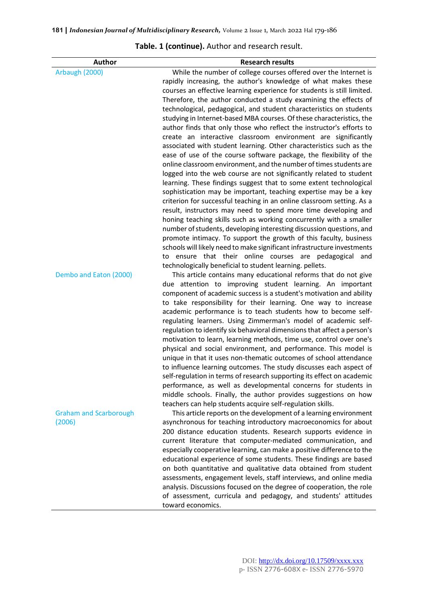| Author                        | <b>Research results</b>                                                                                                                      |
|-------------------------------|----------------------------------------------------------------------------------------------------------------------------------------------|
| Arbaugh (2000)                | While the number of college courses offered over the Internet is                                                                             |
|                               | rapidly increasing, the author's knowledge of what makes these                                                                               |
|                               | courses an effective learning experience for students is still limited.                                                                      |
|                               | Therefore, the author conducted a study examining the effects of                                                                             |
|                               | technological, pedagogical, and student characteristics on students                                                                          |
|                               | studying in Internet-based MBA courses. Of these characteristics, the                                                                        |
|                               | author finds that only those who reflect the instructor's efforts to                                                                         |
|                               | create an interactive classroom environment are significantly                                                                                |
|                               | associated with student learning. Other characteristics such as the                                                                          |
|                               | ease of use of the course software package, the flexibility of the                                                                           |
|                               | online classroom environment, and the number of times students are                                                                           |
|                               | logged into the web course are not significantly related to student                                                                          |
|                               | learning. These findings suggest that to some extent technological                                                                           |
|                               | sophistication may be important, teaching expertise may be a key                                                                             |
|                               | criterion for successful teaching in an online classroom setting. As a                                                                       |
|                               | result, instructors may need to spend more time developing and                                                                               |
|                               | honing teaching skills such as working concurrently with a smaller                                                                           |
|                               | number of students, developing interesting discussion questions, and                                                                         |
|                               | promote intimacy. To support the growth of this faculty, business<br>schools will likely need to make significant infrastructure investments |
|                               | to ensure that their online courses are pedagogical and                                                                                      |
|                               | technologically beneficial to student learning. pellets.                                                                                     |
| Dembo and Eaton (2000)        | This article contains many educational reforms that do not give                                                                              |
|                               | due attention to improving student learning. An important                                                                                    |
|                               | component of academic success is a student's motivation and ability                                                                          |
|                               | to take responsibility for their learning. One way to increase                                                                               |
|                               | academic performance is to teach students how to become self-                                                                                |
|                               | regulating learners. Using Zimmerman's model of academic self-                                                                               |
|                               | regulation to identify six behavioral dimensions that affect a person's                                                                      |
|                               | motivation to learn, learning methods, time use, control over one's                                                                          |
|                               | physical and social environment, and performance. This model is                                                                              |
|                               | unique in that it uses non-thematic outcomes of school attendance                                                                            |
|                               | to influence learning outcomes. The study discusses each aspect of                                                                           |
|                               | self-regulation in terms of research supporting its effect on academic                                                                       |
|                               | performance, as well as developmental concerns for students in                                                                               |
|                               | middle schools. Finally, the author provides suggestions on how                                                                              |
|                               | teachers can help students acquire self-regulation skills.                                                                                   |
| <b>Graham and Scarborough</b> | This article reports on the development of a learning environment                                                                            |
| (2006)                        | asynchronous for teaching introductory macroeconomics for about                                                                              |
|                               | 200 distance education students. Research supports evidence in                                                                               |
|                               | current literature that computer-mediated communication, and<br>especially cooperative learning, can make a positive difference to the       |
|                               | educational experience of some students. These findings are based                                                                            |
|                               | on both quantitative and qualitative data obtained from student                                                                              |
|                               | assessments, engagement levels, staff interviews, and online media                                                                           |
|                               | analysis. Discussions focused on the degree of cooperation, the role                                                                         |
|                               | of assessment, curricula and pedagogy, and students' attitudes                                                                               |

toward economics.

#### **Table. 1 (continue).** Author and research result.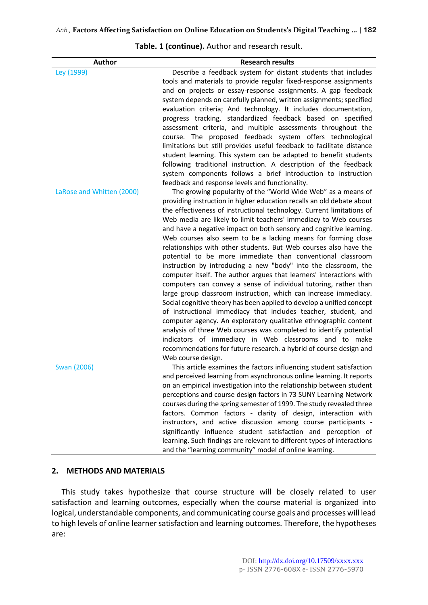| <b>Author</b>             | <b>Research results</b>                                                                                                           |
|---------------------------|-----------------------------------------------------------------------------------------------------------------------------------|
| Ley (1999)                | Describe a feedback system for distant students that includes                                                                     |
|                           | tools and materials to provide regular fixed-response assignments                                                                 |
|                           | and on projects or essay-response assignments. A gap feedback                                                                     |
|                           | system depends on carefully planned, written assignments; specified                                                               |
|                           | evaluation criteria; And technology. It includes documentation,                                                                   |
|                           | progress tracking, standardized feedback based on specified                                                                       |
|                           | assessment criteria, and multiple assessments throughout the                                                                      |
|                           | course. The proposed feedback system offers technological                                                                         |
|                           | limitations but still provides useful feedback to facilitate distance                                                             |
|                           | student learning. This system can be adapted to benefit students                                                                  |
|                           | following traditional instruction. A description of the feedback                                                                  |
|                           | system components follows a brief introduction to instruction                                                                     |
|                           | feedback and response levels and functionality.                                                                                   |
| LaRose and Whitten (2000) | The growing popularity of the "World Wide Web" as a means of                                                                      |
|                           | providing instruction in higher education recalls an old debate about                                                             |
|                           | the effectiveness of instructional technology. Current limitations of                                                             |
|                           | Web media are likely to limit teachers' immediacy to Web courses                                                                  |
|                           | and have a negative impact on both sensory and cognitive learning.                                                                |
|                           | Web courses also seem to be a lacking means for forming close<br>relationships with other students. But Web courses also have the |
|                           | potential to be more immediate than conventional classroom                                                                        |
|                           | instruction by introducing a new "body" into the classroom, the                                                                   |
|                           | computer itself. The author argues that learners' interactions with                                                               |
|                           | computers can convey a sense of individual tutoring, rather than                                                                  |
|                           | large group classroom instruction, which can increase immediacy.                                                                  |
|                           | Social cognitive theory has been applied to develop a unified concept                                                             |
|                           | of instructional immediacy that includes teacher, student, and                                                                    |
|                           | computer agency. An exploratory qualitative ethnographic content                                                                  |
|                           | analysis of three Web courses was completed to identify potential                                                                 |
|                           | indicators of immediacy in Web classrooms and to make                                                                             |
|                           | recommendations for future research. a hybrid of course design and                                                                |
|                           | Web course design.                                                                                                                |
| Swan (2006)               | This article examines the factors influencing student satisfaction                                                                |
|                           | and perceived learning from asynchronous online learning. It reports                                                              |
|                           | on an empirical investigation into the relationship between student                                                               |
|                           | perceptions and course design factors in 73 SUNY Learning Network                                                                 |
|                           | courses during the spring semester of 1999. The study revealed three                                                              |
|                           | factors. Common factors - clarity of design, interaction with                                                                     |
|                           | instructors, and active discussion among course participants -                                                                    |
|                           | significantly influence student satisfaction and perception of                                                                    |
|                           | learning. Such findings are relevant to different types of interactions                                                           |
|                           | and the "learning community" model of online learning.                                                                            |

**Table. 1 (continue).** Author and research result.

#### **2. METHODS AND MATERIALS**

This study takes hypothesize that course structure will be closely related to user satisfaction and learning outcomes, especially when the course material is organized into logical, understandable components, and communicating course goals and processes will lead to high levels of online learner satisfaction and learning outcomes. Therefore, the hypotheses are: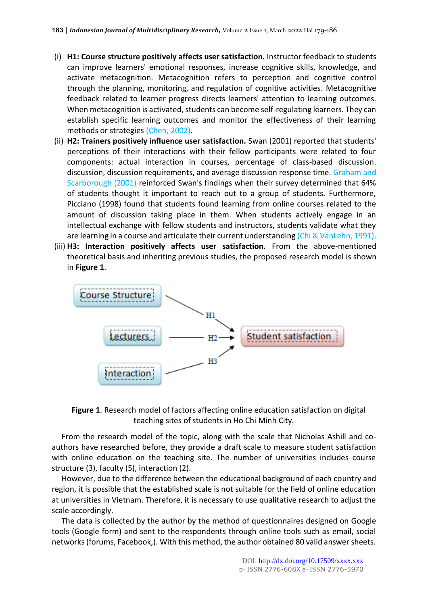- (i) **H1: Course structure positively affects user satisfaction.** Instructor feedback to students can improve learners' emotional responses, increase cognitive skills, knowledge, and activate metacognition. Metacognition refers to perception and cognitive control through the planning, monitoring, and regulation of cognitive activities. Metacognitive feedback related to learner progress directs learners' attention to learning outcomes. When metacognition is activated, students can become self-regulating learners. They can establish specific learning outcomes and monitor the effectiveness of their learning methods or strategies (Chen, 2002).
- (ii) **H2: Trainers positively influence user satisfaction.** Swan (2001) reported that students' perceptions of their interactions with their fellow participants were related to four components: actual interaction in courses, percentage of class-based discussion. discussion, discussion requirements, and average discussion response time. Graham and Scarborough (2001) reinforced Swan's findings when their survey determined that 64% of students thought it important to reach out to a group of students. Furthermore, Picciano (1998) found that students found learning from online courses related to the amount of discussion taking place in them. When students actively engage in an intellectual exchange with fellow students and instructors, students validate what they are learning in a course and articulate their current understanding (Chi & VanLehn, 1991).
- (iii) **H3: Interaction positively affects user satisfaction.** From the above-mentioned theoretical basis and inheriting previous studies, the proposed research model is shown in **Figure 1**.





From the research model of the topic, along with the scale that Nicholas Ashill and coauthors have researched before, they provide a draft scale to measure student satisfaction with online education on the teaching site. The number of universities includes course structure (3), faculty (5), interaction (2).

However, due to the difference between the educational background of each country and region, it is possible that the established scale is not suitable for the field of online education at universities in Vietnam. Therefore, it is necessary to use qualitative research to adjust the scale accordingly.

The data is collected by the author by the method of questionnaires designed on Google tools (Google form) and sent to the respondents through online tools such as email, social networks (forums, Facebook,). With this method, the author obtained 80 valid answer sheets.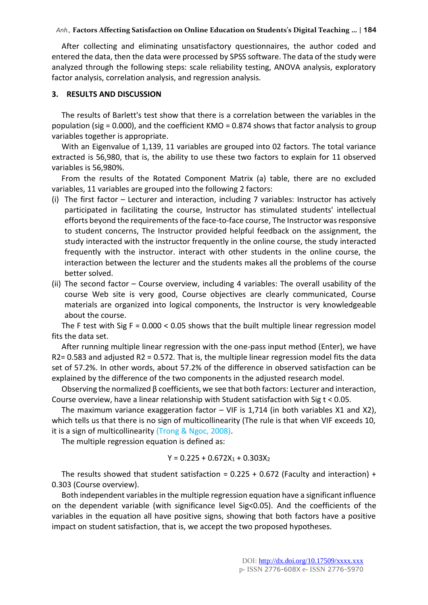#### *Anh.,* **Factors Affecting Satisfaction on Online Education on Students's Digital Teaching …** | **184**

After collecting and eliminating unsatisfactory questionnaires, the author coded and entered the data, then the data were processed by SPSS software. The data of the study were analyzed through the following steps: scale reliability testing, ANOVA analysis, exploratory factor analysis, correlation analysis, and regression analysis.

#### **3. RESULTS AND DISCUSSION**

The results of Barlett's test show that there is a correlation between the variables in the population (sig = 0.000), and the coefficient KMO = 0.874 shows that factor analysis to group variables together is appropriate.

With an Eigenvalue of 1,139, 11 variables are grouped into 02 factors. The total variance extracted is 56,980, that is, the ability to use these two factors to explain for 11 observed variables is 56,980%.

From the results of the Rotated Component Matrix (a) table, there are no excluded variables, 11 variables are grouped into the following 2 factors:

- (i) The first factor Lecturer and interaction, including 7 variables: Instructor has actively participated in facilitating the course, Instructor has stimulated students' intellectual efforts beyond the requirements of the face-to-face course, The Instructor was responsive to student concerns, The Instructor provided helpful feedback on the assignment, the study interacted with the instructor frequently in the online course, the study interacted frequently with the instructor. interact with other students in the online course, the interaction between the lecturer and the students makes all the problems of the course better solved.
- (ii) The second factor Course overview, including 4 variables: The overall usability of the course Web site is very good, Course objectives are clearly communicated, Course materials are organized into logical components, the Instructor is very knowledgeable about the course.

The F test with Sig F =  $0.000 < 0.05$  shows that the built multiple linear regression model fits the data set.

After running multiple linear regression with the one-pass input method (Enter), we have R2= 0.583 and adjusted R2 = 0.572. That is, the multiple linear regression model fits the data set of 57.2%. In other words, about 57.2% of the difference in observed satisfaction can be explained by the difference of the two components in the adjusted research model.

Observing the normalized β coefficients, we see that both factors: Lecturer and interaction, Course overview, have a linear relationship with Student satisfaction with Sig t < 0.05.

The maximum variance exaggeration factor  $-$  VIF is 1,714 (in both variables X1 and X2), which tells us that there is no sign of multicollinearity (The rule is that when VIF exceeds 10, it is a sign of multicollinearity (Trong & Ngoc, 2008).

The multiple regression equation is defined as:

$$
Y = 0.225 + 0.672X_1 + 0.303X_2
$$

The results showed that student satisfaction =  $0.225 + 0.672$  (Faculty and interaction) + 0.303 (Course overview).

Both independent variables in the multiple regression equation have a significant influence on the dependent variable (with significance level  $Sig<0.05$ ). And the coefficients of the variables in the equation all have positive signs, showing that both factors have a positive impact on student satisfaction, that is, we accept the two proposed hypotheses.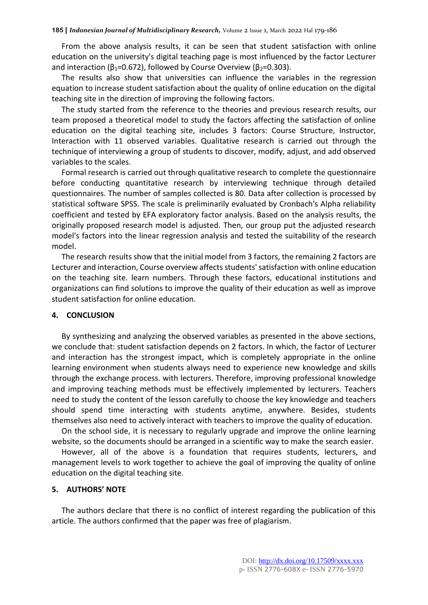From the above analysis results, it can be seen that student satisfaction with online education on the university's digital teaching page is most influenced by the factor Lecturer and interaction ( $β_1$ =0.672), followed by Course Overview ( $β_2$ =0.303).

The results also show that universities can influence the variables in the regression equation to increase student satisfaction about the quality of online education on the digital teaching site in the direction of improving the following factors.

The study started from the reference to the theories and previous research results, our team proposed a theoretical model to study the factors affecting the satisfaction of online education on the digital teaching site, includes 3 factors: Course Structure, Instructor, Interaction with 11 observed variables. Qualitative research is carried out through the technique of interviewing a group of students to discover, modify, adjust, and add observed variables to the scales.

Formal research is carried out through qualitative research to complete the questionnaire before conducting quantitative research by interviewing technique through detailed questionnaires. The number of samples collected is 80. Data after collection is processed by statistical software SPSS. The scale is preliminarily evaluated by Cronbach's Alpha reliability coefficient and tested by EFA exploratory factor analysis. Based on the analysis results, the originally proposed research model is adjusted. Then, our group put the adjusted research model's factors into the linear regression analysis and tested the suitability of the research model.

The research results show that the initial model from 3 factors, the remaining 2 factors are Lecturer and interaction, Course overview affects students' satisfaction with online education on the teaching site. learn numbers. Through these factors, educational institutions and organizations can find solutions to improve the quality of their education as well as improve student satisfaction for online education.

#### **4. CONCLUSION**

By synthesizing and analyzing the observed variables as presented in the above sections, we conclude that: student satisfaction depends on 2 factors. In which, the factor of Lecturer and interaction has the strongest impact, which is completely appropriate in the online learning environment when students always need to experience new knowledge and skills through the exchange process. with lecturers. Therefore, improving professional knowledge and improving teaching methods must be effectively implemented by lecturers. Teachers need to study the content of the lesson carefully to choose the key knowledge and teachers should spend time interacting with students anytime, anywhere. Besides, students themselves also need to actively interact with teachers to improve the quality of education.

On the school side, it is necessary to regularly upgrade and improve the online learning website, so the documents should be arranged in a scientific way to make the search easier.

However, all of the above is a foundation that requires students, lecturers, and management levels to work together to achieve the goal of improving the quality of online education on the digital teaching site.

#### **5. AUTHORS' NOTE**

The authors declare that there is no conflict of interest regarding the publication of this article. The authors confirmed that the paper was free of plagiarism.